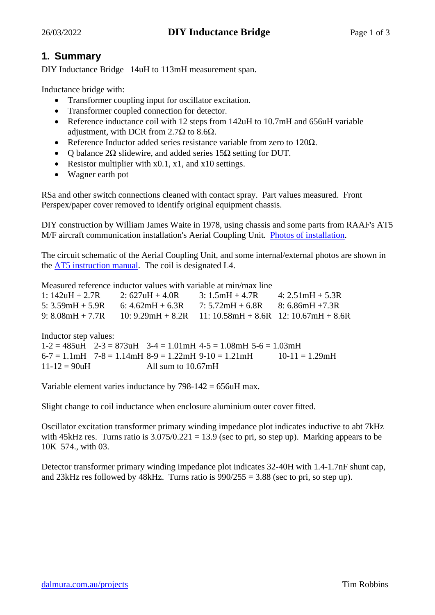## **1. Summary**

DIY Inductance Bridge 14uH to 113mH measurement span.

Inductance bridge with:

- Transformer coupling input for oscillator excitation.
- Transformer coupled connection for detector.
- Reference inductance coil with 12 steps from 142uH to 10.7mH and 656uH variable adjustment, with DCR from 2.7Ω to 8.6Ω.
- Reference Inductor added series resistance variable from zero to  $120\Omega$ .
- Q balance  $2\Omega$  slidewire, and added series  $15\Omega$  setting for DUT.
- Resistor multiplier with  $x0.1$ ,  $x1$ , and  $x10$  settings.
- Wagner earth pot

RSa and other switch connections cleaned with contact spray. Part values measured. Front Perspex/paper cover removed to identify original equipment chassis.

DIY construction by William James Waite in 1978, using chassis and some parts from RAAF's AT5 M/F aircraft communication installation's Aerial Coupling Unit. [Photos of installation.](https://www.qsl.net/vk2dym/radio/PICTURESa.htm)

The circuit schematic of the Aerial Coupling Unit, and some internal/external photos are shown in the [AT5 instruction manual.](http://www.tuberadio.com/AR8/AR8_AT5.pdf) The coil is designated L4.

Measured reference inductor values with variable at min/max line

| 1: $142uH + 2.7R$  | 2: $627uH + 4.0R$ | $3:1.5mH + 4.7R$                                                                                           | $4: 2.51mH + 5.3R$ |
|--------------------|-------------------|------------------------------------------------------------------------------------------------------------|--------------------|
| $5:3.59mH + 5.9R$  | $6:4.62mH + 6.3R$ | $7:5.72mH + 6.8R$                                                                                          | $8:6.86mH + 7.3R$  |
| $9: 8.08mH + 7.7R$ |                   | $10:9.29 \text{mH} + 8.2 \text{R}$ $11:10.58 \text{mH} + 8.6 \text{R}$ $12:10.67 \text{mH} + 8.6 \text{R}$ |                    |

Inductor step values:

 $1-2 = 485$ uH  $2-3 = 873$ uH  $3-4 = 1.01$ mH  $4-5 = 1.08$ mH  $5-6 = 1.03$ mH  $6-7 = 1.1$ mH  $7-8 = 1.14$ mH  $8-9 = 1.22$ mH  $9-10 = 1.21$ mH  $10-11 = 1.29$ mH  $11-12 = 90$ uH All sum to  $10.67$ mH

Variable element varies inductance by 798-142 = 656uH max.

Slight change to coil inductance when enclosure aluminium outer cover fitted.

Oscillator excitation transformer primary winding impedance plot indicates inductive to abt 7kHz with 45kHz res. Turns ratio is  $3.075/0.221 = 13.9$  (sec to pri, so step up). Marking appears to be 10K 574., with 03.

Detector transformer primary winding impedance plot indicates 32-40H with 1.4-1.7nF shunt cap, and 23kHz res followed by 48kHz. Turns ratio is  $990/255 = 3.88$  (sec to pri, so step up).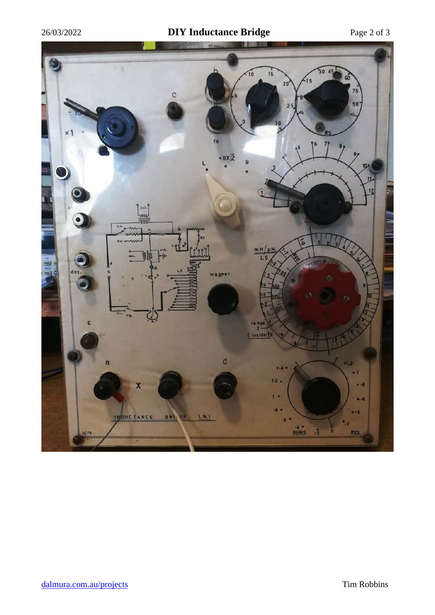